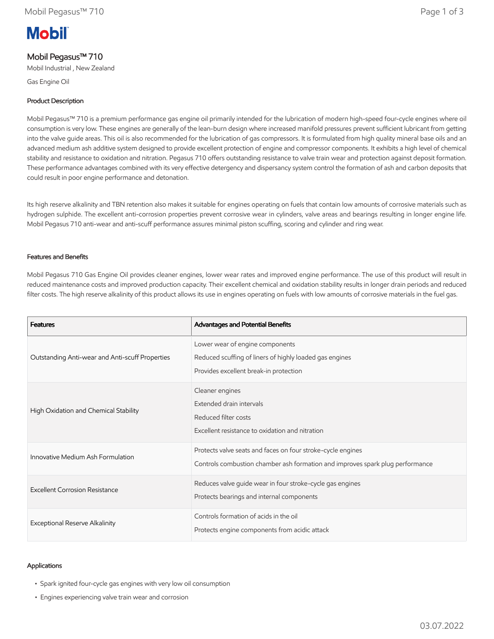# **Mobil**

# Mobil Pegasus™ 710

Mobil Industrial , New Zealand

Gas Engine Oil

# Product Description

Mobil Pegasus™ 710 is a premium performance gas engine oil primarily intended for the lubrication of modern high-speed four-cycle engines where oil consumption is very low. These engines are generally of the lean-burn design where increased manifold pressures prevent sufficient lubricant from getting into the valve guide areas. This oil is also recommended for the lubrication of gas compressors. It is formulated from high quality mineral base oils and an advanced medium ash additive system designed to provide excellent protection of engine and compressor components. It exhibits a high level of chemical stability and resistance to oxidation and nitration. Pegasus 710 offers outstanding resistance to valve train wear and protection against deposit formation. These performance advantages combined with its very effective detergency and dispersancy system control the formation of ash and carbon deposits that could result in poor engine performance and detonation.

Its high reserve alkalinity and TBN retention also makes it suitable for engines operating on fuels that contain low amounts of corrosive materials such as hydrogen sulphide. The excellent anti-corrosion properties prevent corrosive wear in cylinders, valve areas and bearings resulting in longer engine life. Mobil Pegasus 710 anti-wear and anti-scuff performance assures minimal piston scuffing, scoring and cylinder and ring wear.

## Features and Benefits

Mobil Pegasus 710 Gas Engine Oil provides cleaner engines, lower wear rates and improved engine performance. The use of this product will result in reduced maintenance costs and improved production capacity. Their excellent chemical and oxidation stability results in longer drain periods and reduced filter costs. The high reserve alkalinity of this product allows its use in engines operating on fuels with low amounts of corrosive materials in the fuel gas.

| <b>Features</b>                                 | Advantages and Potential Benefits                                                                                                            |
|-------------------------------------------------|----------------------------------------------------------------------------------------------------------------------------------------------|
| Outstanding Anti-wear and Anti-scuff Properties | Lower wear of engine components<br>Reduced scuffing of liners of highly loaded gas engines<br>Provides excellent break-in protection         |
| High Oxidation and Chemical Stability           | Cleaner engines<br>Extended drain intervals<br>Reduced filter costs<br>Excellent resistance to oxidation and nitration                       |
| Innovative Medium Ash Formulation               | Protects valve seats and faces on four stroke-cycle engines<br>Controls combustion chamber ash formation and improves spark plug performance |
| <b>Excellent Corrosion Resistance</b>           | Reduces valve guide wear in four stroke-cycle gas engines<br>Protects bearings and internal components                                       |
| Exceptional Reserve Alkalinity                  | Controls formation of acids in the oil<br>Protects engine components from acidic attack                                                      |

## Applications

- Spark ignited four-cycle gas engines with very low oil consumption
- Engines experiencing valve train wear and corrosion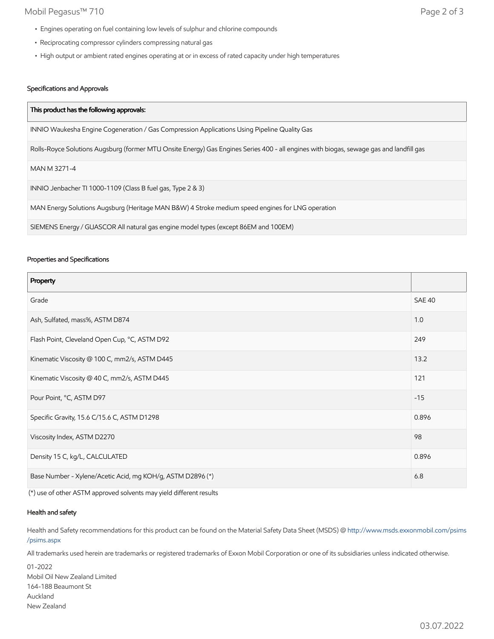# Mobil Pegasus™ 710 Page 2 of 3

- Engines operating on fuel containing low levels of sulphur and chlorine compounds
- Reciprocating compressor cylinders compressing natural gas
- High output or ambient rated engines operating at or in excess of rated capacity under high temperatures

# Specifications and Approvals

| This product has the following approvals:                                                                                               |  |
|-----------------------------------------------------------------------------------------------------------------------------------------|--|
| INNIO Waukesha Engine Cogeneration / Gas Compression Applications Using Pipeline Quality Gas                                            |  |
| Rolls-Royce Solutions Augsburg (former MTU Onsite Energy) Gas Engines Series 400 - all engines with biogas, sewage gas and landfill gas |  |
| MAN M 3271-4                                                                                                                            |  |
| INNIO Jenbacher TI 1000-1109 (Class B fuel gas, Type 2 & 3)                                                                             |  |
| MAN Energy Solutions Augsburg (Heritage MAN B&W) 4 Stroke medium speed engines for LNG operation                                        |  |
| SIEMENS Energy / GUASCOR All natural gas engine model types (except 86EM and 100EM)                                                     |  |

#### Properties and Specifications

| Property                                                   |               |
|------------------------------------------------------------|---------------|
| Grade                                                      | <b>SAE 40</b> |
| Ash, Sulfated, mass%, ASTM D874                            | 1.0           |
| Flash Point, Cleveland Open Cup, °C, ASTM D92              | 249           |
| Kinematic Viscosity @ 100 C, mm2/s, ASTM D445              | 13.2          |
| Kinematic Viscosity @ 40 C, mm2/s, ASTM D445               | 121           |
| Pour Point, °C, ASTM D97                                   | $-15$         |
| Specific Gravity, 15.6 C/15.6 C, ASTM D1298                | 0.896         |
| Viscosity Index, ASTM D2270                                | 98            |
| Density 15 C, kg/L, CALCULATED                             | 0.896         |
| Base Number - Xylene/Acetic Acid, mg KOH/g, ASTM D2896 (*) |               |

(\*) use of other ASTM approved solvents may yield different results

## Health and safety

Health and Safety recommendations for this product can be found on the Material Safety Data Sheet (MSDS) @ [http://www.msds.exxonmobil.com/psims](http://www.msds.exxonmobil.com/psims/psims.aspx) /psims.aspx

All trademarks used herein are trademarks or registered trademarks of Exxon Mobil Corporation or one of its subsidiaries unless indicated otherwise.

01-2022 Mobil Oil New Zealand Limited 164-188 Beaumont St Auckland New Zealand